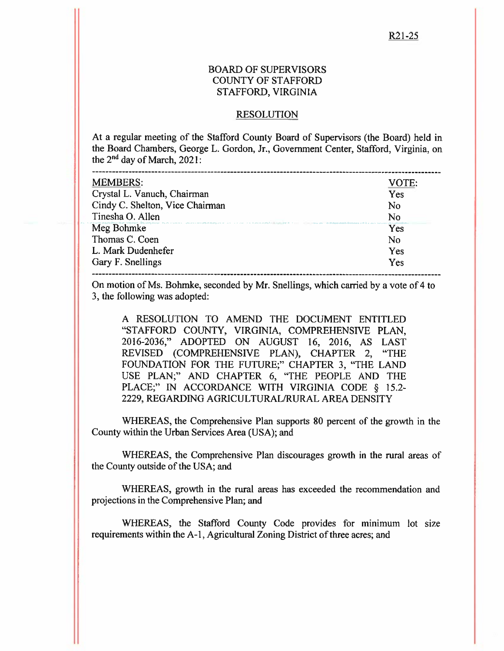#### **BOARD OF SUPERVISORS COUNTY OF STAFFORD** STAFFORD, VIRGINIA

#### **RESOLUTION**

At a regular meeting of the Stafford County Board of Supervisors (the Board) held in the Board Chambers, George L. Gordon, Jr., Government Center, Stafford, Virginia, on the  $2<sup>nd</sup>$  day of March, 2021:

| <b>MEMBERS:</b>                                                                                                                                         | VOTE: |
|---------------------------------------------------------------------------------------------------------------------------------------------------------|-------|
| Crystal L. Vanuch, Chairman                                                                                                                             | Yes   |
| Cindy C. Shelton, Vice Chairman                                                                                                                         | No    |
| Tinesha O. Allen                                                                                                                                        | No    |
| bene in de komme in de een de pleide begin in de van de de kommende de deel geplante in de een de de begende behaarde het by gewone op de<br>Meg Bohmke | Yes   |
| Thomas C. Coen                                                                                                                                          | No    |
| L. Mark Dudenhefer                                                                                                                                      | Yes   |
| Gary F. Snellings                                                                                                                                       | Yes   |
|                                                                                                                                                         |       |

On motion of Ms. Bohmke, seconded by Mr. Snellings, which carried by a vote of 4 to 3, the following was adopted:

A RESOLUTION TO AMEND THE DOCUMENT ENTITLED "STAFFORD COUNTY, VIRGINIA, COMPREHENSIVE PLAN, 2016-2036," ADOPTED ON AUGUST 16, 2016, AS LAST REVISED (COMPREHENSIVE PLAN), CHAPTER 2, "THE FOUNDATION FOR THE FUTURE;" CHAPTER 3, "THE LAND USE PLAN;" AND CHAPTER 6, "THE PEOPLE AND THE PLACE;" IN ACCORDANCE WITH VIRGINIA CODE § 15.2-2229, REGARDING AGRICULTURAL/RURAL AREA DENSITY

WHEREAS, the Comprehensive Plan supports 80 percent of the growth in the County within the Urban Services Area (USA); and

WHEREAS, the Comprehensive Plan discourages growth in the rural areas of the County outside of the USA; and

WHEREAS, growth in the rural areas has exceeded the recommendation and projections in the Comprehensive Plan; and

WHEREAS, the Stafford County Code provides for minimum lot size requirements within the A-1, Agricultural Zoning District of three acres; and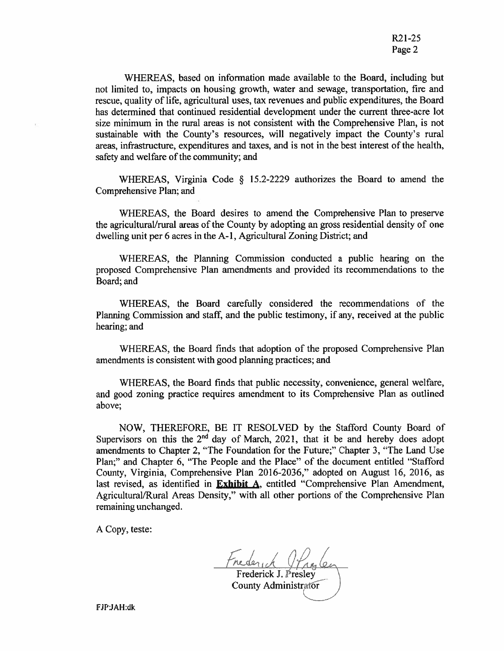R<sub>21</sub>-25 Page 2

WHEREAS, based on information made available to the Board, including but not limited to, impacts on housing growth, water and sewage, transportation, fire and rescue, quality of life, agricultural uses, tax revenues and public expenditures, the Board has determined that continued residential development under the current three-acre lot size minimum in the rural areas is not consistent with the Comprehensive Plan, is not sustainable with the County's resources, will negatively impact the County's rural areas, infrastructure, expenditures and taxes, and is not in the best interest of the health, safety and welfare of the community; and

WHEREAS, Virginia Code § 15.2-2229 authorizes the Board to amend the Comprehensive Plan; and

WHEREAS, the Board desires to amend the Comprehensive Plan to preserve the agricultural/rural areas of the County by adopting an gross residential density of one dwelling unit per 6 acres in the A-1, Agricultural Zoning District; and

WHEREAS, the Planning Commission conducted a public hearing on the proposed Comprehensive Plan amendments and provided its recommendations to the Board; and

WHEREAS, the Board carefully considered the recommendations of the Planning Commission and staff, and the public testimony, if any, received at the public hearing; and

WHEREAS, the Board finds that adoption of the proposed Comprehensive Plan amendments is consistent with good planning practices; and

WHEREAS, the Board finds that public necessity, convenience, general welfare, and good zoning practice requires amendment to its Comprehensive Plan as outlined above:

NOW, THEREFORE, BE IT RESOLVED by the Stafford County Board of Supervisors on this the  $2<sup>nd</sup>$  day of March, 2021, that it be and hereby does adopt amendments to Chapter 2, "The Foundation for the Future;" Chapter 3, "The Land Use Plan;" and Chapter 6, "The People and the Place" of the document entitled "Stafford County, Virginia, Comprehensive Plan 2016-2036," adopted on August 16, 2016, as last revised, as identified in Exhibit A, entitled "Comprehensive Plan Amendment, Agricultural/Rural Areas Density," with all other portions of the Comprehensive Plan remaining unchanged.

A Copy, teste:

Frederick J. Presley County Administrator

FJP:JAH:dk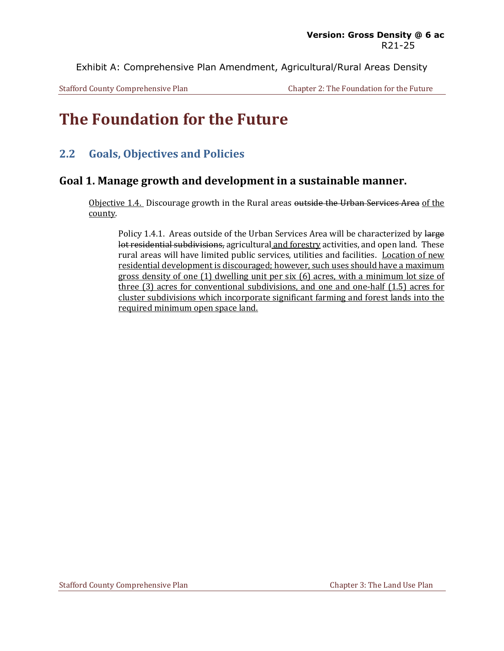Exhibit A: Comprehensive Plan Amendment, Agricultural/Rural Areas Density

Stafford County Comprehensive Plan Chapter 2: The Foundation for the Future

# **The Foundation for the Future**

### **2.2 Goals, Objectives and Policies**

#### **Goal 1. Manage growth and development in a sustainable manner.**

Objective 1.4. Discourage growth in the Rural areas outside the Urban Services Area of the county.

Policy 1.4.1. Areas outside of the Urban Services Area will be characterized by large lot residential subdivisions, agricultural and forestry activities, and open land. These rural areas will have limited public services, utilities and facilities. Location of new residential development is discouraged; however, such uses should have a maximum gross density of one (1) dwelling unit per six (6) acres, with a minimum lot size of three (3) acres for conventional subdivisions, and one and one-half (1.5) acres for cluster subdivisions which incorporate significant farming and forest lands into the required minimum open space land.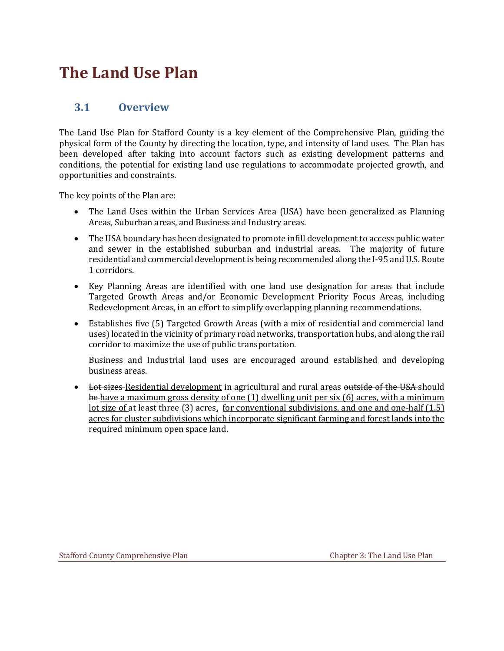# **The Land Use Plan**

### **3.1 Overview**

The Land Use Plan for Stafford County is a key element of the Comprehensive Plan, guiding the physical form of the County by directing the location, type, and intensity of land uses. The Plan has been developed after taking into account factors such as existing development patterns and conditions, the potential for existing land use regulations to accommodate projected growth, and opportunities and constraints.

The key points of the Plan are:

- The Land Uses within the Urban Services Area (USA) have been generalized as Planning Areas, Suburban areas, and Business and Industry areas.
- The USA boundary has been designated to promote infill development to access public water and sewer in the established suburban and industrial areas. The majority of future residential and commercial development is being recommended along the I-95 and U.S. Route 1 corridors.
- Key Planning Areas are identified with one land use designation for areas that include Targeted Growth Areas and/or Economic Development Priority Focus Areas, including Redevelopment Areas, in an effort to simplify overlapping planning recommendations.
- Establishes five (5) Targeted Growth Areas (with a mix of residential and commercial land uses) located in the vicinity of primary road networks, transportation hubs, and along the rail corridor to maximize the use of public transportation.

Business and Industrial land uses are encouraged around established and developing business areas.

• Lot sizes-Residential development in agricultural and rural areas outside of the USA should be have a maximum gross density of one (1) dwelling unit per six (6) acres, with a minimum lot size of at least three (3) acres, for conventional subdivisions, and one and one-half (1.5) acres for cluster subdivisions which incorporate significant farming and forest lands into the required minimum open space land.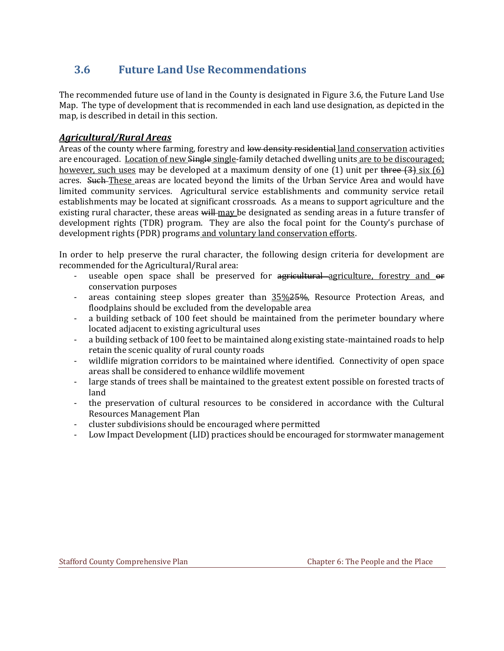## **3.6 Future Land Use Recommendations**

The recommended future use of land in the County is designated in Figure 3.6, the Future Land Use Map. The type of development that is recommended in each land use designation, as depicted in the map, is described in detail in this section.

#### *Agricultural/Rural Areas*

Areas of the county where farming, forestry and low density residential land conservation activities are encouraged. Location of new Single single-family detached dwelling units are to be discouraged; however, such uses may be developed at a maximum density of one  $(1)$  unit per three  $(3)$  six  $(6)$ acres. Such-These areas are located beyond the limits of the Urban Service Area and would have limited community services. Agricultural service establishments and community service retail establishments may be located at significant crossroads. As a means to support agriculture and the existing rural character, these areas will may be designated as sending areas in a future transfer of development rights (TDR) program. They are also the focal point for the County's purchase of development rights (PDR) programs and voluntary land conservation efforts.

In order to help preserve the rural character, the following design criteria for development are recommended for the Agricultural/Rural area:

- useable open space shall be preserved for agricultural agriculture, forestry and or conservation purposes
- areas containing steep slopes greater than  $35\frac{25}{25}\%$ , Resource Protection Areas, and floodplains should be excluded from the developable area
- a building setback of 100 feet should be maintained from the perimeter boundary where located adjacent to existing agricultural uses
- a building setback of 100 feet to be maintained along existing state-maintained roads to help retain the scenic quality of rural county roads
- wildlife migration corridors to be maintained where identified. Connectivity of open space areas shall be considered to enhance wildlife movement
- large stands of trees shall be maintained to the greatest extent possible on forested tracts of land
- the preservation of cultural resources to be considered in accordance with the Cultural Resources Management Plan
- cluster subdivisions should be encouraged where permitted
- Low Impact Development (LID) practices should be encouraged for stormwater management